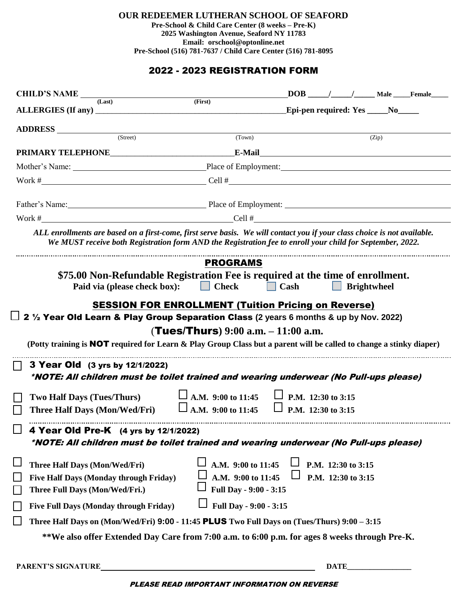**OUR REDEEMER LUTHERAN SCHOOL OF SEAFORD**

**Pre-School & Child Care Center (8 weeks – Pre-K) 2025 Washington Avenue, Seaford NY 11783 Email: orschool@optonline.net Pre-School (516) 781-7637 / Child Care Center (516) 781-8095**

## 2022 - 2023 REGISTRATION FORM

| CHILD'S NAME $_{\text{(Last)}}$ (First)                                   | $DOB$ / / Male Female                                                                                                                                                                                                                                                  |
|---------------------------------------------------------------------------|------------------------------------------------------------------------------------------------------------------------------------------------------------------------------------------------------------------------------------------------------------------------|
|                                                                           | Epi-pen required: Yes _____No_____                                                                                                                                                                                                                                     |
|                                                                           |                                                                                                                                                                                                                                                                        |
| ADDRESS <u>(Street)</u>                                                   | (Town)<br>(Zip)                                                                                                                                                                                                                                                        |
|                                                                           |                                                                                                                                                                                                                                                                        |
|                                                                           |                                                                                                                                                                                                                                                                        |
|                                                                           |                                                                                                                                                                                                                                                                        |
|                                                                           | Father's Name: Place of Employment: 2008. [2013] Place of Employment:                                                                                                                                                                                                  |
|                                                                           | Work $\#$ Cell $\#$ Cell $\#$                                                                                                                                                                                                                                          |
|                                                                           | ALL enrollments are based on a first-come, first serve basis. We will contact you if your class choice is not available.<br>We MUST receive both Registration form AND the Registration fee to enroll your child for September, 2022.                                  |
|                                                                           | <b>PROGRAMS</b>                                                                                                                                                                                                                                                        |
| Paid via (please check box):                                              | \$75.00 Non-Refundable Registration Fee is required at the time of enrollment.<br>$\Box$ Check<br>$\Box$ Cash<br><b>Brightwheel</b><br><b>SESSION FOR ENROLLMENT (Tuition Pricing on Reverse)</b>                                                                      |
| 3 Year Old (3 yrs by 12/1/2022)                                           | $\Box$ 2 1/2 Year Old Learn & Play Group Separation Class (2 years 6 months & up by Nov. 2022)<br>(Tues/Thurs) $9:00$ a.m. $-11:00$ a.m.<br>(Potty training is <b>NOT</b> required for Learn & Play Group Class but a parent will be called to change a stinky diaper) |
|                                                                           | *NOTE: All children must be toilet trained and wearing underwear (No Pull-ups please)                                                                                                                                                                                  |
|                                                                           |                                                                                                                                                                                                                                                                        |
| <b>Two Half Days (Tues/Thurs)</b><br><b>Three Half Days (Mon/Wed/Fri)</b> | $\Box$ A.M. 9:00 to 11:45 $\Box$ P.M. 12:30 to 3:15<br>$\mathbb{Z}$<br>A.M. 9:00 to 11:45<br>P.M. 12:30 to 3:15                                                                                                                                                        |
| 4 Year Old Pre-K (4 yrs by 12/1/2022)                                     | *NOTE: All children must be toilet trained and wearing underwear (No Pull-ups please)                                                                                                                                                                                  |
| <b>Three Half Days (Mon/Wed/Fri)</b>                                      | A.M. 9:00 to 11:45<br>P.M. 12:30 to 3:15                                                                                                                                                                                                                               |
| <b>Five Half Days (Monday through Friday)</b>                             | A.M. 9:00 to 11:45<br>P.M. 12:30 to 3:15                                                                                                                                                                                                                               |
| Three Full Days (Mon/Wed/Fri.)                                            | Full Day - 9:00 - 3:15                                                                                                                                                                                                                                                 |
| Five Full Days (Monday through Friday)                                    | Full Day - 9:00 - 3:15                                                                                                                                                                                                                                                 |
|                                                                           | Three Half Days on (Mon/Wed/Fri) 9:00 - 11:45 PLUS Two Full Days on (Tues/Thurs) $9:00-3:15$                                                                                                                                                                           |

PLEASE READ IMPORTANT INFORMATION ON REVERSE

PARENT'S SIGNATURE DATE